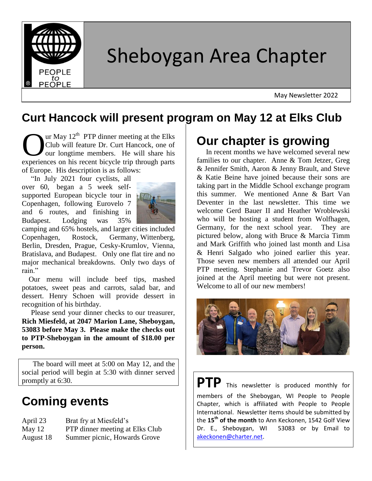

# Sheboygan Area Chapter

May Newsletter 2022

#### **Curt Hancock will present program on May 12 at Elks Club**

ur May  $12<sup>th</sup>$  PTP dinner meeting at the Elks Club will feature Dr. Curt Hancock, one of our longtime members. He will share his **OMEN SET CALL**<br>
Club will feature Dr. Curt Hancock, one of<br>
our longtime members. He will share his<br>
experiences on his recent bicycle trip through parts of Europe. His description is as follows:

 "In July 2021 four cyclists, all over 60, began a 5 week selfsupported European bicycle tour in Copenhagen, following Eurovelo 7 and 6 routes, and finishing in Budapest. Lodging was 35%



camping and 65% hostels, and larger cities included Copenhagen, Rostock, Germany, Wittenberg, Berlin, Dresden, Prague, Cesky-Krumlov, Vienna, Bratislava, and Budapest. Only one flat tire and no major mechanical breakdowns. Only two days of rain."

 Our menu will include beef tips, mashed potatoes, sweet peas and carrots, salad bar, and dessert. Henry Schoen will provide dessert in recognition of his birthday.

 Please send your dinner checks to our treasurer, **Rich Miesfeld, at 2047 Marion Lane, Sheboygan, 53083 before May 3. Please make the checks out to PTP-Sheboygan in the amount of \$18.00 per person.**

 The board will meet at 5:00 on May 12, and the social period will begin at 5:30 with dinner served promptly at 6:30.

## **Coming events**

| April 23  | Brat fry at Miesfeld's          |
|-----------|---------------------------------|
| May $12$  | PTP dinner meeting at Elks Club |
| August 18 | Summer picnic, Howards Grove    |

### **Our chapter is growing**

 In recent months we have welcomed several new families to our chapter. Anne & Tom Jetzer, Greg & Jennifer Smith, Aaron & Jenny Brault, and Steve & Katie Beine have joined because their sons are taking part in the Middle School exchange program this summer. We mentioned Anne & Bart Van Deventer in the last newsletter. This time we welcome Gerd Bauer II and Heather Wroblewski who will be hosting a student from Wolfhagen, Germany, for the next school year. They are pictured below, along with Bruce & Marcia Timm and Mark Griffith who joined last month and Lisa & Henri Salgado who joined earlier this year. Those seven new members all attended our April PTP meeting. Stephanie and Trevor Goetz also joined at the April meeting but were not present. Welcome to all of our new members!



**PTP** This newsletter is produced monthly for members of the Sheboygan, WI People to People Chapter, which is affiliated with People to People International. Newsletter items should be submitted by the **15th of the month** to Ann Keckonen, 1542 Golf View Dr. E., Sheboygan, WI 53083 or by Email to [akeckonen@charter.net.](mailto:akeckonen@charter.net)